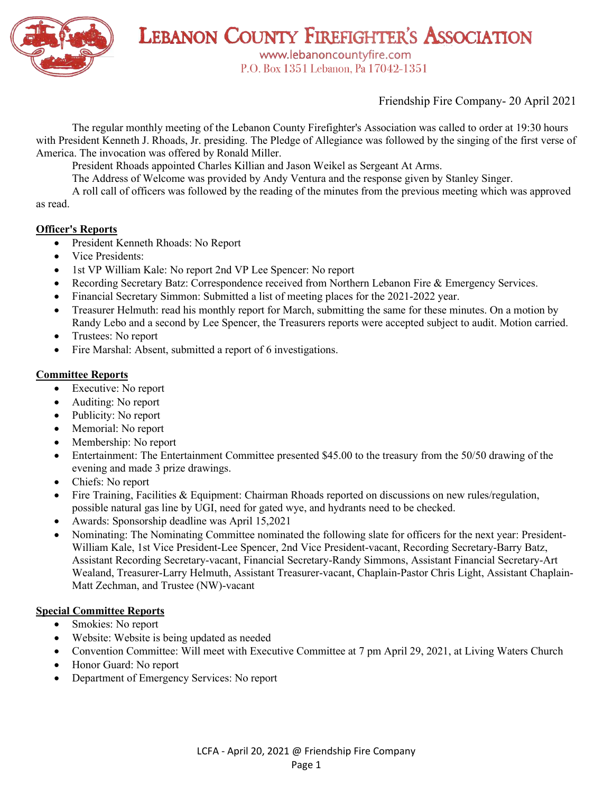

LEBANON COUNTY FIREFIGHTER'S ASSOCIATION

www.lebanoncountyfire.com P.O. Box 1351 Lebanon, Pa 17042-1351

Friendship Fire Company- 20 April 2021

The regular monthly meeting of the Lebanon County Firefighter's Association was called to order at 19:30 hours with President Kenneth J. Rhoads, Jr. presiding. The Pledge of Allegiance was followed by the singing of the first verse of America. The invocation was offered by Ronald Miller.

President Rhoads appointed Charles Killian and Jason Weikel as Sergeant At Arms.

The Address of Welcome was provided by Andy Ventura and the response given by Stanley Singer.

A roll call of officers was followed by the reading of the minutes from the previous meeting which was approved as read.

#### **Officer's Reports**

- President Kenneth Rhoads: No Report
- Vice Presidents:
- 1st VP William Kale: No report 2nd VP Lee Spencer: No report
- Recording Secretary Batz: Correspondence received from Northern Lebanon Fire & Emergency Services.
- Financial Secretary Simmon: Submitted a list of meeting places for the 2021-2022 year.
- Treasurer Helmuth: read his monthly report for March, submitting the same for these minutes. On a motion by Randy Lebo and a second by Lee Spencer, the Treasurers reports were accepted subject to audit. Motion carried.
- Trustees: No report
- Fire Marshal: Absent, submitted a report of 6 investigations.

#### **Committee Reports**

- Executive: No report
- Auditing: No report
- Publicity: No report
- Memorial: No report
- Membership: No report
- Entertainment: The Entertainment Committee presented \$45.00 to the treasury from the 50/50 drawing of the evening and made 3 prize drawings.
- Chiefs: No report
- Fire Training, Facilities & Equipment: Chairman Rhoads reported on discussions on new rules/regulation, possible natural gas line by UGI, need for gated wye, and hydrants need to be checked.
- Awards: Sponsorship deadline was April 15,2021
- Nominating: The Nominating Committee nominated the following slate for officers for the next year: President-William Kale, 1st Vice President-Lee Spencer, 2nd Vice President-vacant, Recording Secretary-Barry Batz, Assistant Recording Secretary-vacant, Financial Secretary-Randy Simmons, Assistant Financial Secretary-Art Wealand, Treasurer-Larry Helmuth, Assistant Treasurer-vacant, Chaplain-Pastor Chris Light, Assistant Chaplain-Matt Zechman, and Trustee (NW)-vacant

#### **Special Committee Reports**

- Smokies: No report
- Website: Website is being updated as needed
- Convention Committee: Will meet with Executive Committee at 7 pm April 29, 2021, at Living Waters Church
- Honor Guard: No report
- Department of Emergency Services: No report